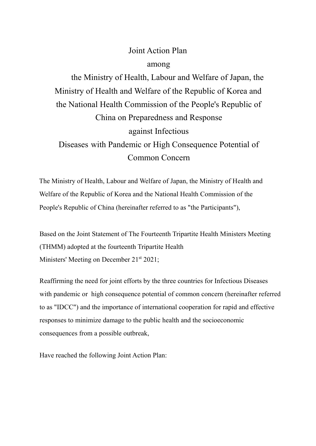## Joint Action Plan

#### among

the Ministry of Health, Labour and Welfare of Japan, the Ministry of Health and Welfare of the Republic of Korea and the National Health Commission of the People's Republic of China on Preparedness and Response against Infectious Diseases with Pandemic or High Consequence Potential of Common Concern

The Ministry of Health, Labour and Welfare of Japan, the Ministry of Health and Welfare of the Republic of Korea and the National Health Commission of the People's Republic of China (hereinafter referred to as "the Participants"),

Based on the Joint Statement of The Fourteenth Tripartite Health Ministers Meeting (THMM) adopted at the fourteenth Tripartite Health Ministers' Meeting on December 21<sup>st</sup> 2021;

Reaffirming the need for joint efforts by the three countries for Infectious Diseases with pandemic or high consequence potential of common concern (hereinafter referred to as "IDCC") and the importance of international cooperation for rapid and effective responses to minimize damage to the public health and the socioeconomic consequences from a possible outbreak,

Have reached the following Joint Action Plan: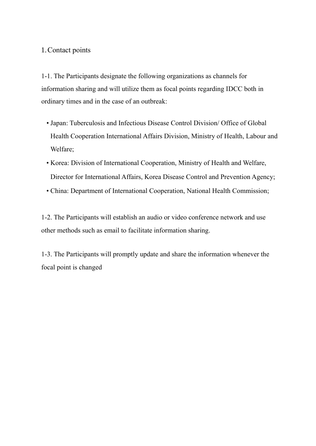#### 1.Contact points

1-1. The Participants designate the following organizations as channels for information sharing and will utilize them as focal points regarding IDCC both in ordinary times and in the case of an outbreak:

- Japan: Tuberculosis and Infectious Disease Control Division/ Office of Global Health Cooperation International Affairs Division, Ministry of Health, Labour and Welfare;
- Korea: Division of International Cooperation, Ministry of Health and Welfare, Director for International Affairs, Korea Disease Control and Prevention Agency;
- China: Department of International Cooperation, National Health Commission;

1-2. The Participants will establish an audio or video conference network and use other methods such as email to facilitate information sharing.

1-3. The Participants will promptly update and share the information whenever the focal point is changed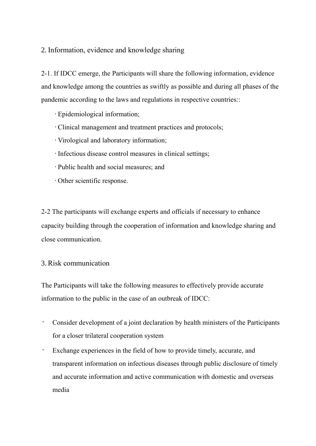### 2. Information, evidence and knowledge sharing

2-1. If IDCC emerge, the Participants will share the following information, evidence and knowledge among the countries as swiftly as possible and during all phases of the pandemic according to the laws and regulations in respective countries::

- •Epidemiological information;
- •Clinical management and treatment practices and protocols;
- •Virological and laboratory information;
- •Infectious disease control measures in clinical settings;
- •Public health and social measures; and
- •Other scientific response.

2-2 The participants will exchange experts and officials if necessary to enhance capacity building through the cooperation of information and knowledge sharing and close communication.

#### 3. Risk communication

The Participants will take the following measures to effectively provide accurate information to the public in the case of an outbreak of IDCC:

- Consider development of a joint declaration by health ministers of the Participants for a closer trilateral cooperation system
- Exchange experiences in the field of how to provide timely, accurate, and transparent information on infectious diseases through public disclosure of timely and accurate information and active communication with domestic and overseas media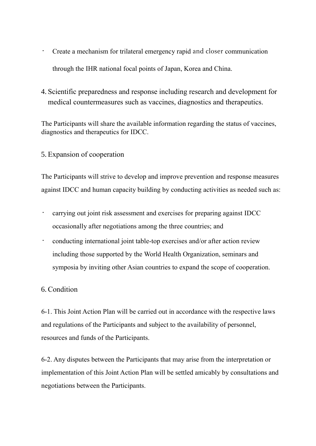- Create a mechanism for trilateral emergency rapid and closer communication through the IHR national focal points of Japan, Korea and China.
- 4. Scientific preparedness and response including research and development for medical countermeasures such as vaccines, diagnostics and therapeutics.

The Participants will share the available information regarding the status of vaccines, diagnostics and therapeutics for IDCC.

# 5. Expansion of cooperation

The Participants will strive to develop and improve prevention and response measures against IDCC and human capacity building by conducting activities as needed such as:

- carrying out joint risk assessment and exercises for preparing against IDCC occasionally after negotiations among the three countries; and
- conducting international joint table-top exercises and/or after action review including those supported by the World Health Organization, seminars and symposia by inviting other Asian countries to expand the scope of cooperation.

# 6. Condition

6-1. This Joint Action Plan will be carried out in accordance with the respective laws and regulations of the Participants and subject to the availability of personnel, resources and funds of the Participants.

6-2. Any disputes between the Participants that may arise from the interpretation or implementation of this Joint Action Plan will be settled amicably by consultations and negotiations between the Participants.